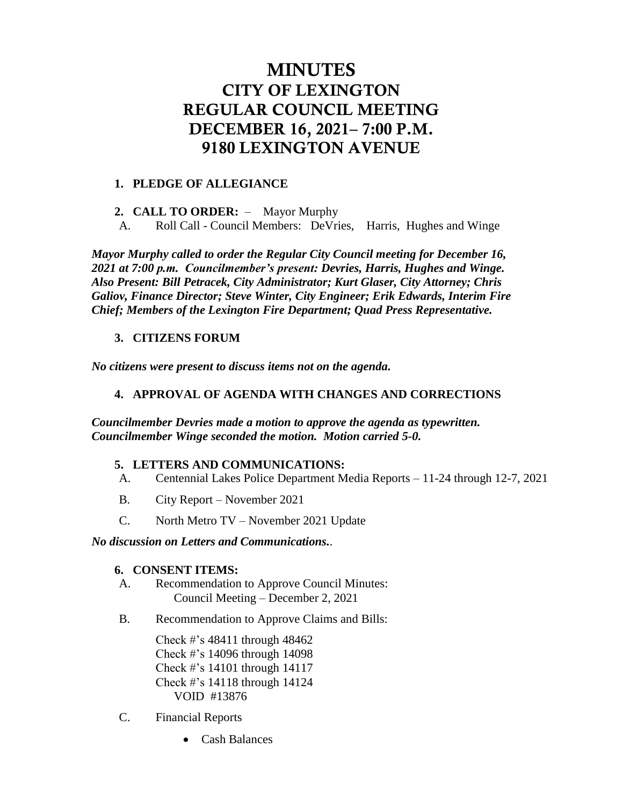# MINUTES CITY OF LEXINGTON REGULAR COUNCIL MEETING DECEMBER 16, 2021– 7:00 P.M. 9180 LEXINGTON AVENUE

#### **1. PLEDGE OF ALLEGIANCE**

**2. CALL TO ORDER:** – Mayor Murphy

A. Roll Call - Council Members: DeVries, Harris, Hughes and Winge

*Mayor Murphy called to order the Regular City Council meeting for December 16, 2021 at 7:00 p.m. Councilmember's present: Devries, Harris, Hughes and Winge. Also Present: Bill Petracek, City Administrator; Kurt Glaser, City Attorney; Chris Galiov, Finance Director; Steve Winter, City Engineer; Erik Edwards, Interim Fire Chief; Members of the Lexington Fire Department; Quad Press Representative.*

## **3. CITIZENS FORUM**

*No citizens were present to discuss items not on the agenda.*

#### **4. APPROVAL OF AGENDA WITH CHANGES AND CORRECTIONS**

#### *Councilmember Devries made a motion to approve the agenda as typewritten. Councilmember Winge seconded the motion. Motion carried 5-0.*

#### **5. LETTERS AND COMMUNICATIONS:**

- A. Centennial Lakes Police Department Media Reports 11-24 through 12-7, 2021
- B. City Report November 2021
- C. North Metro TV November 2021 Update

#### *No discussion on Letters and Communications.*.

#### **6. CONSENT ITEMS:**

- A. Recommendation to Approve Council Minutes: Council Meeting – December 2, 2021
- B. Recommendation to Approve Claims and Bills:

Check #'s 48411 through 48462 Check #'s 14096 through 14098 Check #'s 14101 through 14117 Check #'s 14118 through 14124 VOID #13876

- C. Financial Reports
	- Cash Balances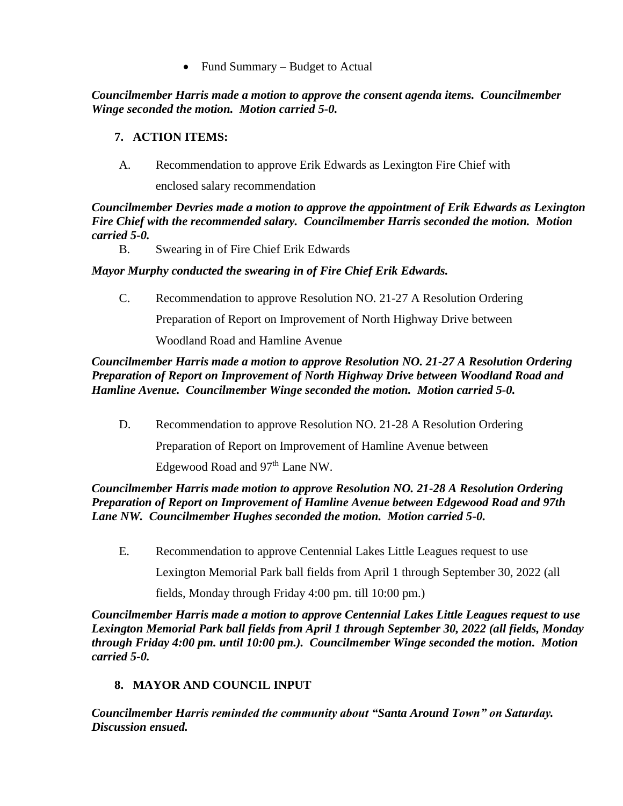Fund Summary – Budget to Actual

*Councilmember Harris made a motion to approve the consent agenda items. Councilmember Winge seconded the motion. Motion carried 5-0.*

## **7. ACTION ITEMS:**

A. Recommendation to approve Erik Edwards as Lexington Fire Chief with

enclosed salary recommendation

*Councilmember Devries made a motion to approve the appointment of Erik Edwards as Lexington Fire Chief with the recommended salary. Councilmember Harris seconded the motion. Motion carried 5-0.* 

B. Swearing in of Fire Chief Erik Edwards

## *Mayor Murphy conducted the swearing in of Fire Chief Erik Edwards.*

C. Recommendation to approve Resolution NO. 21-27 A Resolution Ordering

Preparation of Report on Improvement of North Highway Drive between

Woodland Road and Hamline Avenue

## *Councilmember Harris made a motion to approve Resolution NO. 21-27 A Resolution Ordering Preparation of Report on Improvement of North Highway Drive between Woodland Road and Hamline Avenue. Councilmember Winge seconded the motion. Motion carried 5-0.*

D. Recommendation to approve Resolution NO. 21-28 A Resolution Ordering

Preparation of Report on Improvement of Hamline Avenue between

Edgewood Road and 97<sup>th</sup> Lane NW.

#### *Councilmember Harris made motion to approve Resolution NO. 21-28 A Resolution Ordering Preparation of Report on Improvement of Hamline Avenue between Edgewood Road and 97th Lane NW. Councilmember Hughes seconded the motion. Motion carried 5-0.*

E. Recommendation to approve Centennial Lakes Little Leagues request to use

Lexington Memorial Park ball fields from April 1 through September 30, 2022 (all

fields, Monday through Friday 4:00 pm. till 10:00 pm.)

*Councilmember Harris made a motion to approve Centennial Lakes Little Leagues request to use Lexington Memorial Park ball fields from April 1 through September 30, 2022 (all fields, Monday through Friday 4:00 pm. until 10:00 pm.). Councilmember Winge seconded the motion. Motion carried 5-0.* 

## **8. MAYOR AND COUNCIL INPUT**

*Councilmember Harris reminded the community about "Santa Around Town" on Saturday. Discussion ensued.*